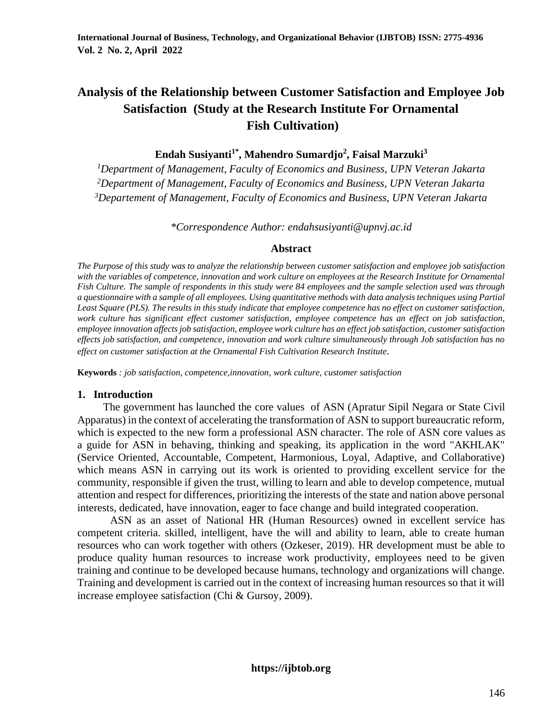# **Analysis of the Relationship between Customer Satisfaction and Employee Job Satisfaction (Study at the Research Institute For Ornamental Fish Cultivation)**

**Endah Susiyanti1\* , Mahendro Sumardjo<sup>2</sup> , Faisal Marzuki<sup>3</sup>**

*<sup>1</sup>Department of Management, Faculty of Economics and Business, UPN Veteran Jakarta <sup>2</sup>Department of Management, Faculty of Economics and Business, UPN Veteran Jakarta <sup>3</sup>Departement of Management, Faculty of Economics and Business, UPN Veteran Jakarta*

*\*Correspondence Author: endahsusiyanti@upnvj.ac.id*

#### **Abstract**

*The Purpose of this study was to analyze the relationship between customer satisfaction and employee job satisfaction with the variables of competence, innovation and work culture on employees at the Research Institute for Ornamental Fish Culture. The sample of respondents in this study were 84 employees and the sample selection used was through a questionnaire with a sample of all employees. Using quantitative methods with data analysis techniques using Partial Least Square (PLS). The results in this study indicate that employee competence has no effect on customer satisfaction,*  work culture has significant effect customer satisfaction, employee competence has an effect on job satisfaction, *employee innovation affects job satisfaction, employee work culture has an effect job satisfaction, customer satisfaction effects job satisfaction, and competence, innovation and work culture simultaneously through Job satisfaction has no effect on customer satisfaction at the Ornamental Fish Cultivation Research Institute.*

**Keywords** *: job satisfaction, competence,innovation, work culture, customer satisfaction*

# **1. Introduction**

The government has launched the core values of ASN (Apratur Sipil Negara or State Civil Apparatus) in the context of accelerating the transformation of ASN to support bureaucratic reform, which is expected to the new form a professional ASN character. The role of ASN core values as a guide for ASN in behaving, thinking and speaking, its application in the word "AKHLAK" (Service Oriented, Accountable, Competent, Harmonious, Loyal, Adaptive, and Collaborative) which means ASN in carrying out its work is oriented to providing excellent service for the community, responsible if given the trust, willing to learn and able to develop competence, mutual attention and respect for differences, prioritizing the interests of the state and nation above personal interests, dedicated, have innovation, eager to face change and build integrated cooperation.

ASN as an asset of National HR (Human Resources) owned in excellent service has competent criteria. skilled, intelligent, have the will and ability to learn, able to create human resources who can work together with others (Ozkeser, 2019). HR development must be able to produce quality human resources to increase work productivity, employees need to be given training and continue to be developed because humans, technology and organizations will change. Training and development is carried out in the context of increasing human resources so that it will increase employee satisfaction (Chi & Gursoy, 2009).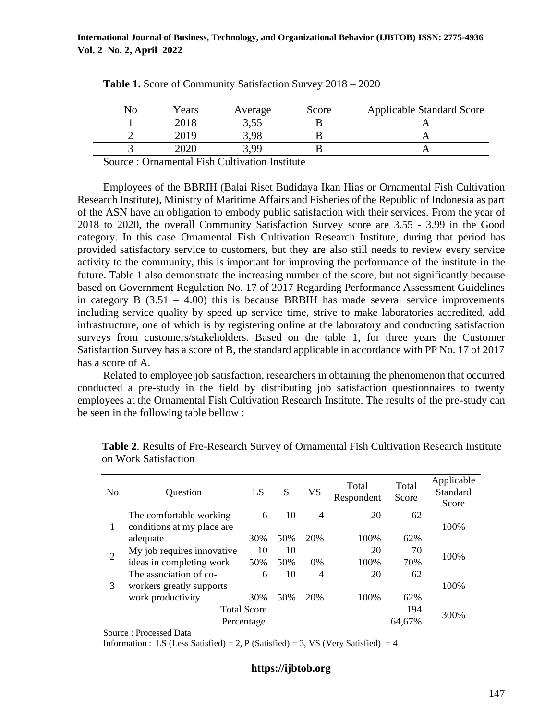| Years | Average | Score | <b>Applicable Standard Score</b> |
|-------|---------|-------|----------------------------------|
|       | ے بی ب  |       |                                  |
| 2019  | റ       |       |                                  |
|       | : aa    |       |                                  |
|       |         |       |                                  |

| Table 1. Score of Community Satisfaction Survey 2018 - 2020 |  |  |
|-------------------------------------------------------------|--|--|
|-------------------------------------------------------------|--|--|

Source : Ornamental Fish Cultivation Institute

Employees of the BBRIH (Balai Riset Budidaya Ikan Hias or Ornamental Fish Cultivation Research Institute), Ministry of Maritime Affairs and Fisheries of the Republic of Indonesia as part of the ASN have an obligation to embody public satisfaction with their services. From the year of 2018 to 2020, the overall Community Satisfaction Survey score are 3.55 - 3.99 in the Good category. In this case Ornamental Fish Cultivation Research Institute, during that period has provided satisfactory service to customers, but they are also still needs to review every service activity to the community, this is important for improving the performance of the institute in the future. Table 1 also demonstrate the increasing number of the score, but not significantly because based on Government Regulation No. 17 of 2017 Regarding Performance Assessment Guidelines in category B  $(3.51 - 4.00)$  this is because BRBIH has made several service improvements including service quality by speed up service time, strive to make laboratories accredited, add infrastructure, one of which is by registering online at the laboratory and conducting satisfaction surveys from customers/stakeholders. Based on the table 1, for three years the Customer Satisfaction Survey has a score of B, the standard applicable in accordance with PP No. 17 of 2017 has a score of A.

Related to employee job satisfaction, researchers in obtaining the phenomenon that occurred conducted a pre-study in the field by distributing job satisfaction questionnaires to twenty employees at the Ornamental Fish Cultivation Research Institute. The results of the pre-study can be seen in the following table bellow :

| N <sub>0</sub> | Question                   | LS                 | S   | <b>VS</b> | Total<br>Respondent | Total<br>Score | Applicable<br>Standard<br>Score |
|----------------|----------------------------|--------------------|-----|-----------|---------------------|----------------|---------------------------------|
|                | The comfortable working    | 6                  | 10  | 4         | 20                  | 62             |                                 |
|                | conditions at my place are |                    |     |           |                     |                | 100%                            |
|                | adequate                   | 30%                | 50% | 20%       | 100%                | 62%            |                                 |
| 2              | My job requires innovative | 10                 | 10  |           | 20                  | 70             | 100%                            |
|                | ideas in completing work   | 50%                | 50% | 0%        | 100%                | 70%            |                                 |
|                | The association of co-     | 6                  | 10  | 4         | 20                  | 62             |                                 |
| 3              | workers greatly supports   |                    |     |           |                     |                | 100%                            |
|                | work productivity          | 30%                | 50% | 20%       | 100%                | 62%            |                                 |
|                |                            | <b>Total Score</b> |     |           |                     | 194            | 300%                            |
|                |                            | Percentage         |     |           |                     | 64,67%         |                                 |

**Table 2**. Results of Pre-Research Survey of Ornamental Fish Cultivation Research Institute on Work Satisfaction

Source : Processed Data

Information : LS (Less Satisfied) = 2, P (Satisfied) = 3, VS (Very Satisfied) = 4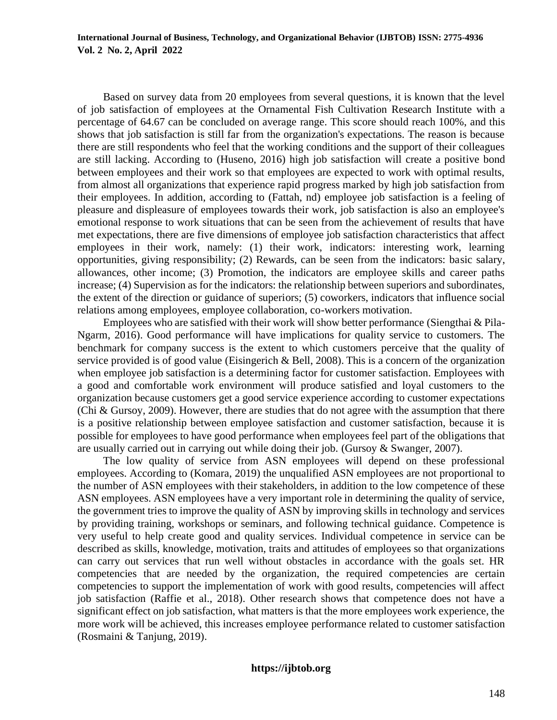Based on survey data from 20 employees from several questions, it is known that the level of job satisfaction of employees at the Ornamental Fish Cultivation Research Institute with a percentage of 64.67 can be concluded on average range. This score should reach 100%, and this shows that job satisfaction is still far from the organization's expectations. The reason is because there are still respondents who feel that the working conditions and the support of their colleagues are still lacking. According to (Huseno, 2016) high job satisfaction will create a positive bond between employees and their work so that employees are expected to work with optimal results, from almost all organizations that experience rapid progress marked by high job satisfaction from their employees. In addition, according to (Fattah, nd) employee job satisfaction is a feeling of pleasure and displeasure of employees towards their work, job satisfaction is also an employee's emotional response to work situations that can be seen from the achievement of results that have met expectations, there are five dimensions of employee job satisfaction characteristics that affect employees in their work, namely: (1) their work, indicators: interesting work, learning opportunities, giving responsibility; (2) Rewards, can be seen from the indicators: basic salary, allowances, other income; (3) Promotion, the indicators are employee skills and career paths increase; (4) Supervision as for the indicators: the relationship between superiors and subordinates, the extent of the direction or guidance of superiors; (5) coworkers, indicators that influence social relations among employees, employee collaboration, co-workers motivation.

Employees who are satisfied with their work will show better performance (Siengthai & Pila-Ngarm, 2016). Good performance will have implications for quality service to customers. The benchmark for company success is the extent to which customers perceive that the quality of service provided is of good value (Eisingerich & Bell, 2008). This is a concern of the organization when employee job satisfaction is a determining factor for customer satisfaction. Employees with a good and comfortable work environment will produce satisfied and loyal customers to the organization because customers get a good service experience according to customer expectations (Chi & Gursoy, 2009). However, there are studies that do not agree with the assumption that there is a positive relationship between employee satisfaction and customer satisfaction, because it is possible for employees to have good performance when employees feel part of the obligations that are usually carried out in carrying out while doing their job. (Gursoy & Swanger, 2007).

The low quality of service from ASN employees will depend on these professional employees. According to (Komara, 2019) the unqualified ASN employees are not proportional to the number of ASN employees with their stakeholders, in addition to the low competence of these ASN employees. ASN employees have a very important role in determining the quality of service, the government tries to improve the quality of ASN by improving skills in technology and services by providing training, workshops or seminars, and following technical guidance. Competence is very useful to help create good and quality services. Individual competence in service can be described as skills, knowledge, motivation, traits and attitudes of employees so that organizations can carry out services that run well without obstacles in accordance with the goals set. HR competencies that are needed by the organization, the required competencies are certain competencies to support the implementation of work with good results, competencies will affect job satisfaction (Raffie et al., 2018). Other research shows that competence does not have a significant effect on job satisfaction, what matters is that the more employees work experience, the more work will be achieved, this increases employee performance related to customer satisfaction (Rosmaini & Tanjung, 2019).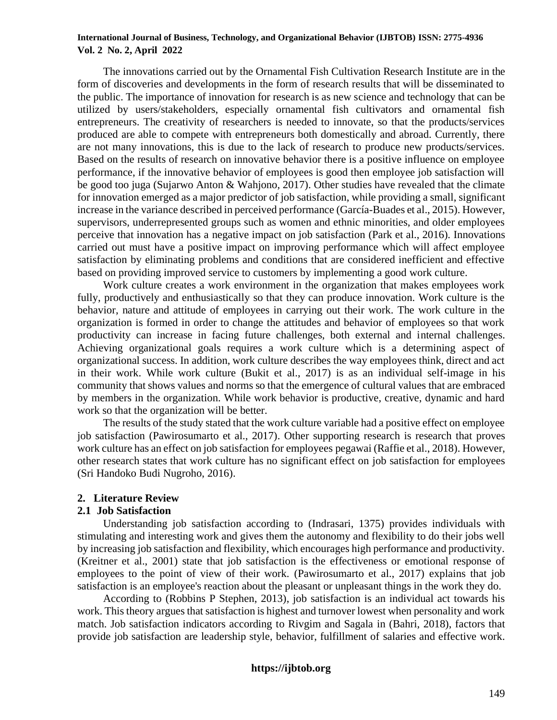The innovations carried out by the Ornamental Fish Cultivation Research Institute are in the form of discoveries and developments in the form of research results that will be disseminated to the public. The importance of innovation for research is as new science and technology that can be utilized by users/stakeholders, especially ornamental fish cultivators and ornamental fish entrepreneurs. The creativity of researchers is needed to innovate, so that the products/services produced are able to compete with entrepreneurs both domestically and abroad. Currently, there are not many innovations, this is due to the lack of research to produce new products/services. Based on the results of research on innovative behavior there is a positive influence on employee performance, if the innovative behavior of employees is good then employee job satisfaction will be good too juga (Sujarwo Anton & Wahjono, 2017). Other studies have revealed that the climate for innovation emerged as a major predictor of job satisfaction, while providing a small, significant increase in the variance described in perceived performance (García-Buades et al., 2015). However, supervisors, underrepresented groups such as women and ethnic minorities, and older employees perceive that innovation has a negative impact on job satisfaction (Park et al., 2016). Innovations carried out must have a positive impact on improving performance which will affect employee satisfaction by eliminating problems and conditions that are considered inefficient and effective based on providing improved service to customers by implementing a good work culture.

Work culture creates a work environment in the organization that makes employees work fully, productively and enthusiastically so that they can produce innovation. Work culture is the behavior, nature and attitude of employees in carrying out their work. The work culture in the organization is formed in order to change the attitudes and behavior of employees so that work productivity can increase in facing future challenges, both external and internal challenges. Achieving organizational goals requires a work culture which is a determining aspect of organizational success. In addition, work culture describes the way employees think, direct and act in their work. While work culture (Bukit et al., 2017) is as an individual self-image in his community that shows values and norms so that the emergence of cultural values that are embraced by members in the organization. While work behavior is productive, creative, dynamic and hard work so that the organization will be better.

The results of the study stated that the work culture variable had a positive effect on employee job satisfaction (Pawirosumarto et al., 2017). Other supporting research is research that proves work culture has an effect on job satisfaction for employees pegawai (Raffie et al., 2018). However, other research states that work culture has no significant effect on job satisfaction for employees (Sri Handoko Budi Nugroho, 2016).

#### **2. Literature Review**

#### **2.1 Job Satisfaction**

Understanding job satisfaction according to (Indrasari, 1375) provides individuals with stimulating and interesting work and gives them the autonomy and flexibility to do their jobs well by increasing job satisfaction and flexibility, which encourages high performance and productivity. (Kreitner et al., 2001) state that job satisfaction is the effectiveness or emotional response of employees to the point of view of their work. (Pawirosumarto et al., 2017) explains that job satisfaction is an employee's reaction about the pleasant or unpleasant things in the work they do.

According to (Robbins P Stephen, 2013), job satisfaction is an individual act towards his work. This theory argues that satisfaction is highest and turnover lowest when personality and work match. Job satisfaction indicators according to Rivgim and Sagala in (Bahri, 2018), factors that provide job satisfaction are leadership style, behavior, fulfillment of salaries and effective work.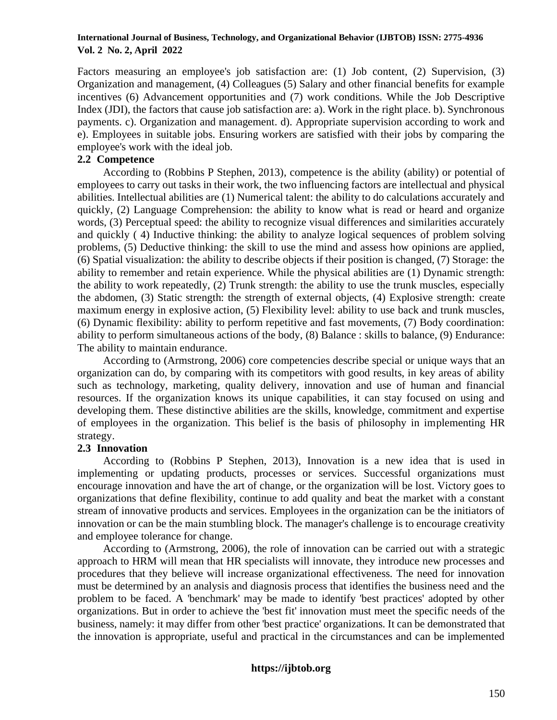Factors measuring an employee's job satisfaction are: (1) Job content, (2) Supervision, (3) Organization and management, (4) Colleagues (5) Salary and other financial benefits for example incentives (6) Advancement opportunities and (7) work conditions. While the Job Descriptive Index (JDI), the factors that cause job satisfaction are: a). Work in the right place. b). Synchronous payments. c). Organization and management. d). Appropriate supervision according to work and e). Employees in suitable jobs. Ensuring workers are satisfied with their jobs by comparing the employee's work with the ideal job.

# **2.2 Competence**

According to (Robbins P Stephen, 2013), competence is the ability (ability) or potential of employees to carry out tasks in their work, the two influencing factors are intellectual and physical abilities. Intellectual abilities are (1) Numerical talent: the ability to do calculations accurately and quickly, (2) Language Comprehension: the ability to know what is read or heard and organize words, (3) Perceptual speed: the ability to recognize visual differences and similarities accurately and quickly ( 4) Inductive thinking: the ability to analyze logical sequences of problem solving problems, (5) Deductive thinking: the skill to use the mind and assess how opinions are applied, (6) Spatial visualization: the ability to describe objects if their position is changed, (7) Storage: the ability to remember and retain experience. While the physical abilities are (1) Dynamic strength: the ability to work repeatedly, (2) Trunk strength: the ability to use the trunk muscles, especially the abdomen, (3) Static strength: the strength of external objects, (4) Explosive strength: create maximum energy in explosive action, (5) Flexibility level: ability to use back and trunk muscles, (6) Dynamic flexibility: ability to perform repetitive and fast movements, (7) Body coordination: ability to perform simultaneous actions of the body, (8) Balance : skills to balance, (9) Endurance: The ability to maintain endurance.

According to (Armstrong, 2006) core competencies describe special or unique ways that an organization can do, by comparing with its competitors with good results, in key areas of ability such as technology, marketing, quality delivery, innovation and use of human and financial resources. If the organization knows its unique capabilities, it can stay focused on using and developing them. These distinctive abilities are the skills, knowledge, commitment and expertise of employees in the organization. This belief is the basis of philosophy in implementing HR strategy.

# **2.3 Innovation**

According to (Robbins P Stephen, 2013), Innovation is a new idea that is used in implementing or updating products, processes or services. Successful organizations must encourage innovation and have the art of change, or the organization will be lost. Victory goes to organizations that define flexibility, continue to add quality and beat the market with a constant stream of innovative products and services. Employees in the organization can be the initiators of innovation or can be the main stumbling block. The manager's challenge is to encourage creativity and employee tolerance for change.

According to (Armstrong, 2006), the role of innovation can be carried out with a strategic approach to HRM will mean that HR specialists will innovate, they introduce new processes and procedures that they believe will increase organizational effectiveness. The need for innovation must be determined by an analysis and diagnosis process that identifies the business need and the problem to be faced. A 'benchmark' may be made to identify 'best practices' adopted by other organizations. But in order to achieve the 'best fit' innovation must meet the specific needs of the business, namely: it may differ from other 'best practice' organizations. It can be demonstrated that the innovation is appropriate, useful and practical in the circumstances and can be implemented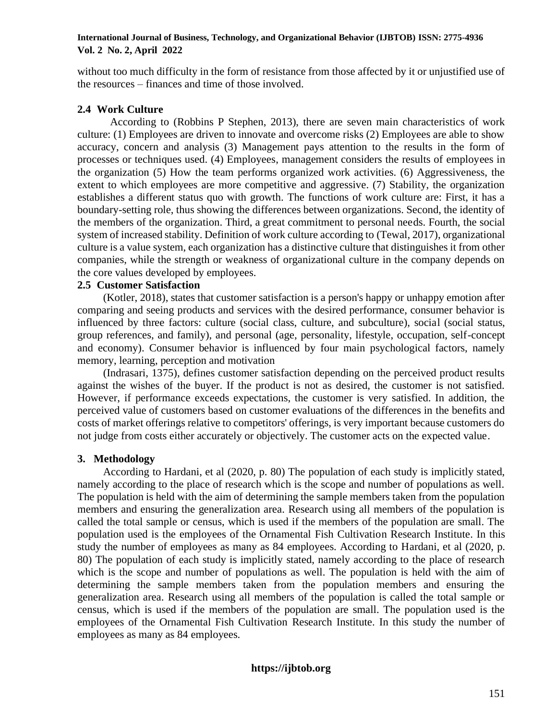without too much difficulty in the form of resistance from those affected by it or unjustified use of the resources – finances and time of those involved.

# **2.4 Work Culture**

According to (Robbins P Stephen, 2013), there are seven main characteristics of work culture: (1) Employees are driven to innovate and overcome risks (2) Employees are able to show accuracy, concern and analysis (3) Management pays attention to the results in the form of processes or techniques used. (4) Employees, management considers the results of employees in the organization (5) How the team performs organized work activities. (6) Aggressiveness, the extent to which employees are more competitive and aggressive. (7) Stability, the organization establishes a different status quo with growth. The functions of work culture are: First, it has a boundary-setting role, thus showing the differences between organizations. Second, the identity of the members of the organization. Third, a great commitment to personal needs. Fourth, the social system of increased stability. Definition of work culture according to (Tewal, 2017), organizational culture is a value system, each organization has a distinctive culture that distinguishes it from other companies, while the strength or weakness of organizational culture in the company depends on the core values developed by employees.

# **2.5 Customer Satisfaction**

(Kotler, 2018), states that customer satisfaction is a person's happy or unhappy emotion after comparing and seeing products and services with the desired performance, consumer behavior is influenced by three factors: culture (social class, culture, and subculture), social (social status, group references, and family), and personal (age, personality, lifestyle, occupation, self-concept and economy). Consumer behavior is influenced by four main psychological factors, namely memory, learning, perception and motivation

(Indrasari, 1375), defines customer satisfaction depending on the perceived product results against the wishes of the buyer. If the product is not as desired, the customer is not satisfied. However, if performance exceeds expectations, the customer is very satisfied. In addition, the perceived value of customers based on customer evaluations of the differences in the benefits and costs of market offerings relative to competitors' offerings, is very important because customers do not judge from costs either accurately or objectively. The customer acts on the expected value.

# **3. Methodology**

According to Hardani, et al (2020, p. 80) The population of each study is implicitly stated, namely according to the place of research which is the scope and number of populations as well. The population is held with the aim of determining the sample members taken from the population members and ensuring the generalization area. Research using all members of the population is called the total sample or census, which is used if the members of the population are small. The population used is the employees of the Ornamental Fish Cultivation Research Institute. In this study the number of employees as many as 84 employees. According to Hardani, et al (2020, p. 80) The population of each study is implicitly stated, namely according to the place of research which is the scope and number of populations as well. The population is held with the aim of determining the sample members taken from the population members and ensuring the generalization area. Research using all members of the population is called the total sample or census, which is used if the members of the population are small. The population used is the employees of the Ornamental Fish Cultivation Research Institute. In this study the number of employees as many as 84 employees.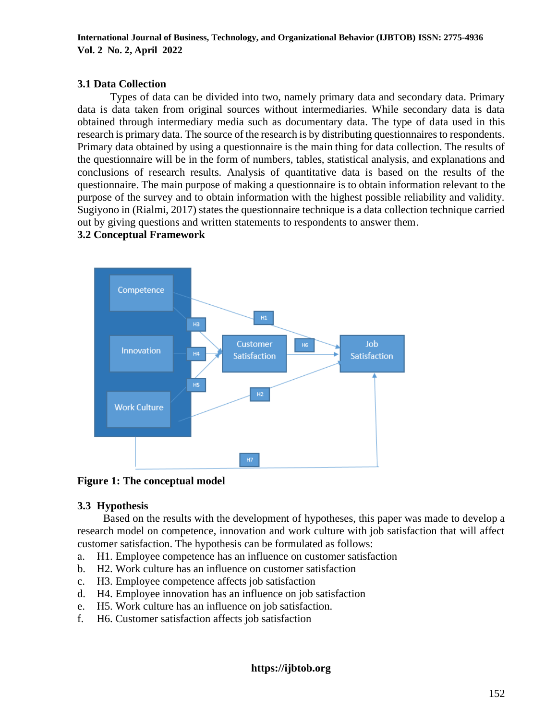# **3.1 Data Collection**

Types of data can be divided into two, namely primary data and secondary data. Primary data is data taken from original sources without intermediaries. While secondary data is data obtained through intermediary media such as documentary data. The type of data used in this research is primary data. The source of the research is by distributing questionnaires to respondents. Primary data obtained by using a questionnaire is the main thing for data collection. The results of the questionnaire will be in the form of numbers, tables, statistical analysis, and explanations and conclusions of research results. Analysis of quantitative data is based on the results of the questionnaire. The main purpose of making a questionnaire is to obtain information relevant to the purpose of the survey and to obtain information with the highest possible reliability and validity. Sugiyono in (Rialmi, 2017) states the questionnaire technique is a data collection technique carried out by giving questions and written statements to respondents to answer them.

# **3.2 Conceptual Framework**





# **3.3 Hypothesis**

Based on the results with the development of hypotheses, this paper was made to develop a research model on competence, innovation and work culture with job satisfaction that will affect customer satisfaction. The hypothesis can be formulated as follows:

- a. H1. Employee competence has an influence on customer satisfaction
- b. H2. Work culture has an influence on customer satisfaction
- c. H3. Employee competence affects job satisfaction
- d. H4. Employee innovation has an influence on job satisfaction
- e. H5. Work culture has an influence on job satisfaction.
- f. H6. Customer satisfaction affects job satisfaction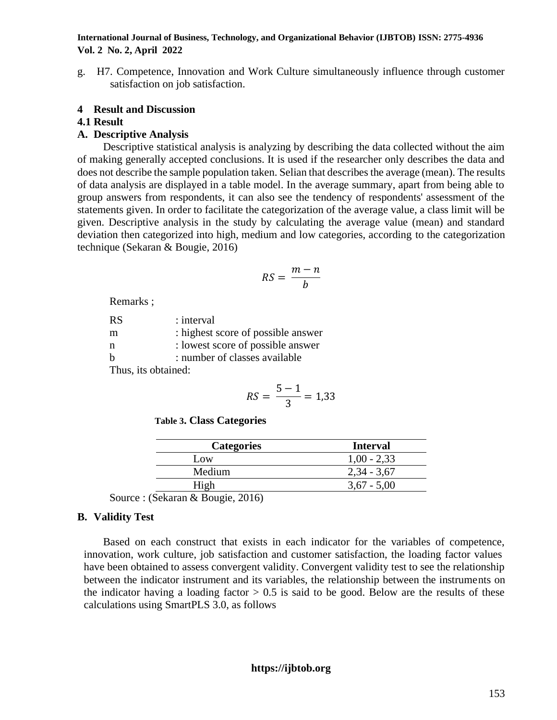g. H7. Competence, Innovation and Work Culture simultaneously influence through customer satisfaction on job satisfaction.

# **4 Result and Discussion**

# **4.1 Result**

# **A. Descriptive Analysis**

Descriptive statistical analysis is analyzing by describing the data collected without the aim of making generally accepted conclusions. It is used if the researcher only describes the data and does not describe the sample population taken. Selian that describes the average (mean). The results of data analysis are displayed in a table model. In the average summary, apart from being able to group answers from respondents, it can also see the tendency of respondents' assessment of the statements given. In order to facilitate the categorization of the average value, a class limit will be given. Descriptive analysis in the study by calculating the average value (mean) and standard deviation then categorized into high, medium and low categories, according to the categorization technique (Sekaran & Bougie, 2016)

$$
RS = \frac{m-n}{b}
$$

Remarks ;

| <b>RS</b>           | : interval                         |  |  |  |
|---------------------|------------------------------------|--|--|--|
| m                   | : highest score of possible answer |  |  |  |
| n                   | : lowest score of possible answer  |  |  |  |
| $\mathbf{h}$        | : number of classes available      |  |  |  |
| Thus, its obtained: |                                    |  |  |  |

$$
RS = \frac{5-1}{3} = 1,33
$$

 **Table 3. Class Categories**

| <b>Categories</b> | <b>Interval</b> |
|-------------------|-----------------|
| Low               | $1,00 - 2,33$   |
| Medium            | $2,34 - 3,67$   |
|                   | $3,67 - 5,00$   |

Source : (Sekaran & Bougie, 2016)

# **B. Validity Test**

Based on each construct that exists in each indicator for the variables of competence, innovation, work culture, job satisfaction and customer satisfaction, the loading factor values have been obtained to assess convergent validity. Convergent validity test to see the relationship between the indicator instrument and its variables, the relationship between the instruments on the indicator having a loading factor  $> 0.5$  is said to be good. Below are the results of these calculations using SmartPLS 3.0, as follows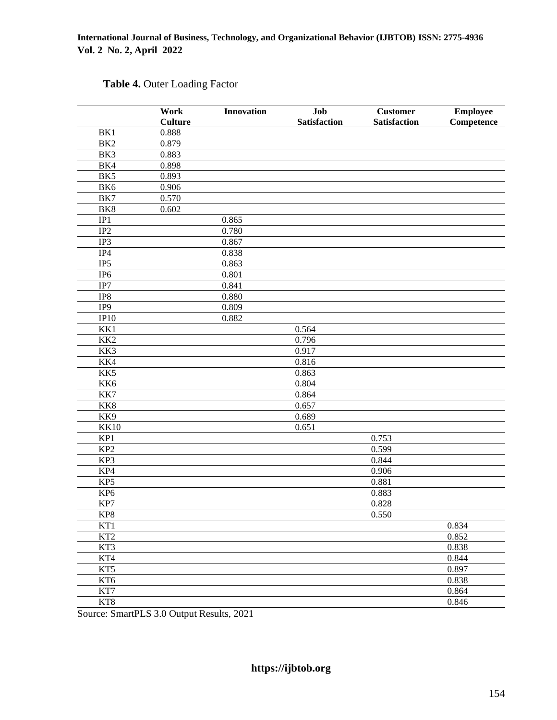|                 | Work           | <b>Innovation</b> | Job                 | <b>Customer</b> | <b>Employee</b> |
|-----------------|----------------|-------------------|---------------------|-----------------|-----------------|
|                 | <b>Culture</b> |                   | <b>Satisfaction</b> | Satisfaction    | Competence      |
| BK1             | 0.888          |                   |                     |                 |                 |
| BK <sub>2</sub> | 0.879          |                   |                     |                 |                 |
| BK3             | 0.883          |                   |                     |                 |                 |
| BK4             | 0.898          |                   |                     |                 |                 |
| BK5             | 0.893          |                   |                     |                 |                 |
| BK6             | 0.906          |                   |                     |                 |                 |
| BK7             | 0.570          |                   |                     |                 |                 |
| BK8             | 0.602          |                   |                     |                 |                 |
| IP1             |                | 0.865             |                     |                 |                 |
| IP2             |                | 0.780             |                     |                 |                 |
| IP3             |                | 0.867             |                     |                 |                 |
| IP4             |                | 0.838             |                     |                 |                 |
| IP <sub>5</sub> |                | 0.863             |                     |                 |                 |
| IP <sub>6</sub> |                | 0.801             |                     |                 |                 |
| IP7             |                | 0.841             |                     |                 |                 |
| IP8             |                | 0.880             |                     |                 |                 |
| IP <sub>9</sub> |                | 0.809             |                     |                 |                 |
| IP10            |                | 0.882             |                     |                 |                 |
| KK1             |                |                   | 0.564               |                 |                 |
| KK <sub>2</sub> |                |                   | 0.796               |                 |                 |
| KK3             |                |                   | 0.917               |                 |                 |
| KK4             |                |                   | 0.816               |                 |                 |
| KK5             |                |                   | 0.863               |                 |                 |
| KK6             |                |                   | 0.804               |                 |                 |
| KK7             |                |                   | 0.864               |                 |                 |
| KK8             |                |                   | 0.657               |                 |                 |
| KK9             |                |                   | 0.689               |                 |                 |
| <b>KK10</b>     |                |                   | 0.651               |                 |                 |
| KP1             |                |                   |                     | 0.753           |                 |
| KP <sub>2</sub> |                |                   |                     | 0.599           |                 |
| KP3             |                |                   |                     | 0.844           |                 |
| KP4             |                |                   |                     | 0.906           |                 |
| KP5             |                |                   |                     | 0.881           |                 |
| KP <sub>6</sub> |                |                   |                     | 0.883           |                 |
| KP7             |                |                   |                     | 0.828           |                 |
| KP8             |                |                   |                     | 0.550           |                 |
| KT1             |                |                   |                     |                 | 0.834           |
| KT <sub>2</sub> |                |                   |                     |                 | 0.852           |
| KT3             |                |                   |                     |                 | 0.838           |
| KT4             |                |                   |                     |                 | 0.844           |
| KT5             |                |                   |                     |                 | 0.897           |
| KT6             |                |                   |                     |                 | 0.838           |
| KT7             |                |                   |                     |                 | 0.864           |
| KT8             |                |                   |                     |                 | 0.846           |

# **Table 4.** Outer Loading Factor

Source: SmartPLS 3.0 Output Results, 2021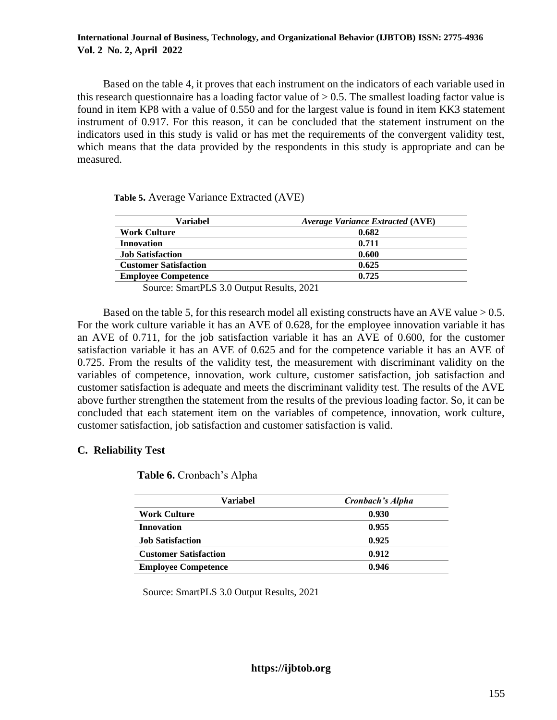Based on the table 4, it proves that each instrument on the indicators of each variable used in this research questionnaire has a loading factor value of  $> 0.5$ . The smallest loading factor value is found in item KP8 with a value of 0.550 and for the largest value is found in item KK3 statement instrument of 0.917. For this reason, it can be concluded that the statement instrument on the indicators used in this study is valid or has met the requirements of the convergent validity test, which means that the data provided by the respondents in this study is appropriate and can be measured.

 **Table 5.** Average Variance Extracted (AVE)

| Variabel                     | <b>Average Variance Extracted (AVE)</b> |
|------------------------------|-----------------------------------------|
| <b>Work Culture</b>          | 0.682                                   |
| <b>Innovation</b>            | 0.711                                   |
| <b>Job Satisfaction</b>      | 0.600                                   |
| <b>Customer Satisfaction</b> | 0.625                                   |
| <b>Employee Competence</b>   | 0.725                                   |

Source: SmartPLS 3.0 Output Results, 2021

Based on the table 5, for this research model all existing constructs have an AVE value  $> 0.5$ . For the work culture variable it has an AVE of 0.628, for the employee innovation variable it has an AVE of 0.711, for the job satisfaction variable it has an AVE of 0.600, for the customer satisfaction variable it has an AVE of 0.625 and for the competence variable it has an AVE of 0.725. From the results of the validity test, the measurement with discriminant validity on the variables of competence, innovation, work culture, customer satisfaction, job satisfaction and customer satisfaction is adequate and meets the discriminant validity test. The results of the AVE above further strengthen the statement from the results of the previous loading factor. So, it can be concluded that each statement item on the variables of competence, innovation, work culture, customer satisfaction, job satisfaction and customer satisfaction is valid.

# **C. Reliability Test**

| Variabel                     | Cronbach's Alpha |
|------------------------------|------------------|
| <b>Work Culture</b>          | 0.930            |
| Innovation                   | 0.955            |
| <b>Job Satisfaction</b>      | 0.925            |
| <b>Customer Satisfaction</b> | 0.912            |
| <b>Employee Competence</b>   | 0.946            |

Source: SmartPLS 3.0 Output Results, 2021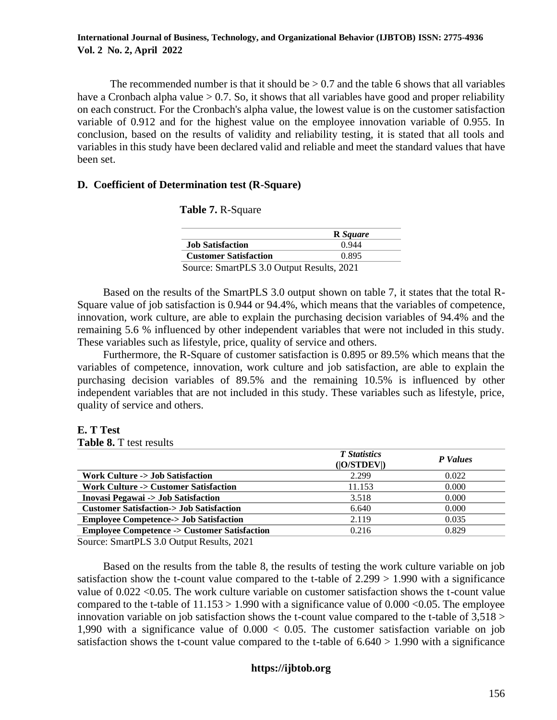The recommended number is that it should be  $> 0.7$  and the table 6 shows that all variables have a Cronbach alpha value  $> 0.7$ . So, it shows that all variables have good and proper reliability on each construct. For the Cronbach's alpha value, the lowest value is on the customer satisfaction variable of 0.912 and for the highest value on the employee innovation variable of 0.955. In conclusion, based on the results of validity and reliability testing, it is stated that all tools and variables in this study have been declared valid and reliable and meet the standard values that have been set.

# **D. Coefficient of Determination test (R-Square)**

|                                           | <b>R</b> Square |
|-------------------------------------------|-----------------|
| <b>Job Satisfaction</b>                   | 0.944           |
| <b>Customer Satisfaction</b>              | 0.895           |
| Source: SmartPLS 3.0 Output Results, 2021 |                 |

Based on the results of the SmartPLS 3.0 output shown on table 7, it states that the total R-Square value of job satisfaction is 0.944 or 94.4%, which means that the variables of competence, innovation, work culture, are able to explain the purchasing decision variables of 94.4% and the remaining 5.6 % influenced by other independent variables that were not included in this study. These variables such as lifestyle, price, quality of service and others.

Furthermore, the R-Square of customer satisfaction is 0.895 or 89.5% which means that the variables of competence, innovation, work culture and job satisfaction, are able to explain the purchasing decision variables of 89.5% and the remaining 10.5% is influenced by other independent variables that are not included in this study. These variables such as lifestyle, price, quality of service and others.

**E. T Test**

**Table 8.** T test results

|                                                                                              | <b>T</b> Statistics<br>( O/STDEV ) | <b>P</b> Values |
|----------------------------------------------------------------------------------------------|------------------------------------|-----------------|
| <b>Work Culture -&gt; Job Satisfaction</b>                                                   | 2.299                              | 0.022           |
| <b>Work Culture -&gt; Customer Satisfaction</b>                                              | 11.153                             | 0.000           |
| <b>Inovasi Pegawai -&gt; Job Satisfaction</b>                                                | 3.518                              | 0.000           |
| <b>Customer Satisfaction-&gt; Job Satisfaction</b>                                           | 6.640                              | 0.000           |
| <b>Employee Competence-&gt; Job Satisfaction</b>                                             | 2.119                              | 0.035           |
| <b>Employee Competence -&gt; Customer Satisfaction</b>                                       | 0.216                              | 0.829           |
| $\alpha$ $\alpha$ $\mathbf{p}$ $\alpha$ $\alpha$ $\alpha$ $\mathbf{p}$ $\mathbf{p}$ $\alpha$ |                                    |                 |

Source: SmartPLS 3.0 Output Results, 2021

Based on the results from the table 8, the results of testing the work culture variable on job satisfaction show the t-count value compared to the t-table of  $2.299 > 1.990$  with a significance value of 0.022 <0.05. The work culture variable on customer satisfaction shows the t-count value compared to the t-table of  $11.153 > 1.990$  with a significance value of  $0.000 < 0.05$ . The employee innovation variable on job satisfaction shows the t-count value compared to the t-table of  $3,518 >$ 1,990 with a significance value of  $0.000 < 0.05$ . The customer satisfaction variable on job satisfaction shows the t-count value compared to the t-table of  $6.640 > 1.990$  with a significance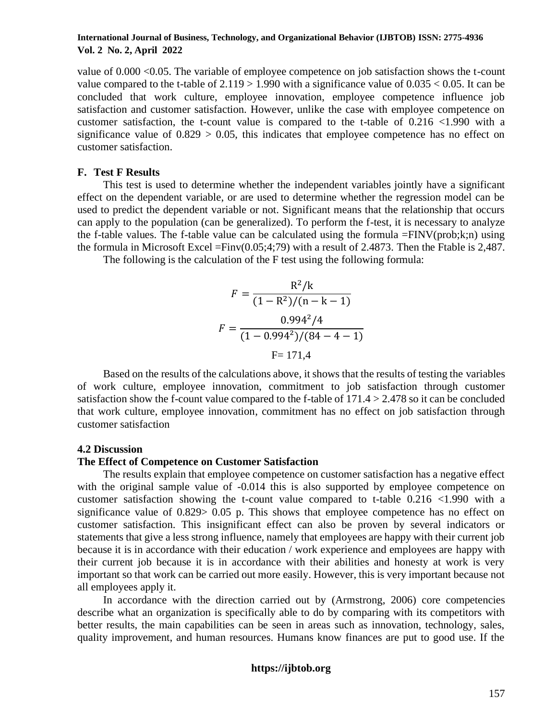value of 0.000 <0.05. The variable of employee competence on job satisfaction shows the t-count value compared to the t-table of  $2.119 > 1.990$  with a significance value of  $0.035 < 0.05$ . It can be concluded that work culture, employee innovation, employee competence influence job satisfaction and customer satisfaction. However, unlike the case with employee competence on customer satisfaction, the t-count value is compared to the t-table of 0.216 <1.990 with a significance value of  $0.829 > 0.05$ , this indicates that employee competence has no effect on customer satisfaction.

# **F. Test F Results**

This test is used to determine whether the independent variables jointly have a significant effect on the dependent variable, or are used to determine whether the regression model can be used to predict the dependent variable or not. Significant means that the relationship that occurs can apply to the population (can be generalized). To perform the f-test, it is necessary to analyze the f-table values. The f-table value can be calculated using the formula =FINV(prob;k;n) using the formula in Microsoft Excel = $Finv(0.05;4;79)$  with a result of 2.4873. Then the Ftable is 2,487.

The following is the calculation of the F test using the following formula:

$$
F = \frac{R^2/k}{(1 - R^2)/(n - k - 1)}
$$

$$
F = \frac{0.994^2/4}{(1 - 0.994^2)/(84 - 4 - 1)}
$$

$$
F = 171.4
$$

Based on the results of the calculations above, it shows that the results of testing the variables of work culture, employee innovation, commitment to job satisfaction through customer satisfaction show the f-count value compared to the f-table of 171.4 > 2.478 so it can be concluded that work culture, employee innovation, commitment has no effect on job satisfaction through customer satisfaction

#### **4.2 Discussion**

### **The Effect of Competence on Customer Satisfaction**

The results explain that employee competence on customer satisfaction has a negative effect with the original sample value of  $-0.014$  this is also supported by employee competence on customer satisfaction showing the t-count value compared to t-table 0.216 <1.990 with a significance value of 0.829> 0.05 p. This shows that employee competence has no effect on customer satisfaction. This insignificant effect can also be proven by several indicators or statements that give a less strong influence, namely that employees are happy with their current job because it is in accordance with their education / work experience and employees are happy with their current job because it is in accordance with their abilities and honesty at work is very important so that work can be carried out more easily. However, this is very important because not all employees apply it.

In accordance with the direction carried out by (Armstrong, 2006) core competencies describe what an organization is specifically able to do by comparing with its competitors with better results, the main capabilities can be seen in areas such as innovation, technology, sales, quality improvement, and human resources. Humans know finances are put to good use. If the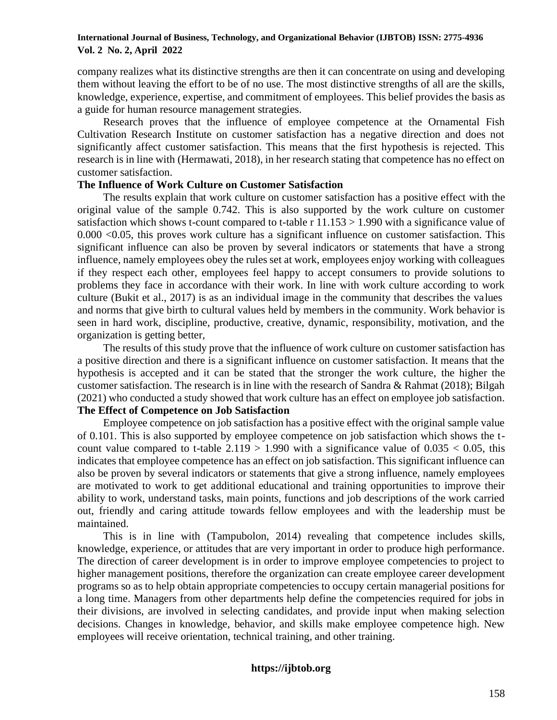company realizes what its distinctive strengths are then it can concentrate on using and developing them without leaving the effort to be of no use. The most distinctive strengths of all are the skills, knowledge, experience, expertise, and commitment of employees. This belief provides the basis as a guide for human resource management strategies.

Research proves that the influence of employee competence at the Ornamental Fish Cultivation Research Institute on customer satisfaction has a negative direction and does not significantly affect customer satisfaction. This means that the first hypothesis is rejected. This research is in line with (Hermawati, 2018), in her research stating that competence has no effect on customer satisfaction.

# **The Influence of Work Culture on Customer Satisfaction**

The results explain that work culture on customer satisfaction has a positive effect with the original value of the sample 0.742. This is also supported by the work culture on customer satisfaction which shows t-count compared to t-table r  $11.153 > 1.990$  with a significance value of 0.000 <0.05, this proves work culture has a significant influence on customer satisfaction. This significant influence can also be proven by several indicators or statements that have a strong influence, namely employees obey the rules set at work, employees enjoy working with colleagues if they respect each other, employees feel happy to accept consumers to provide solutions to problems they face in accordance with their work. In line with work culture according to work culture (Bukit et al., 2017) is as an individual image in the community that describes the values and norms that give birth to cultural values held by members in the community. Work behavior is seen in hard work, discipline, productive, creative, dynamic, responsibility, motivation, and the organization is getting better,

The results of this study prove that the influence of work culture on customer satisfaction has a positive direction and there is a significant influence on customer satisfaction. It means that the hypothesis is accepted and it can be stated that the stronger the work culture, the higher the customer satisfaction. The research is in line with the research of Sandra & Rahmat (2018); Bilgah (2021) who conducted a study showed that work culture has an effect on employee job satisfaction. **The Effect of Competence on Job Satisfaction**

Employee competence on job satisfaction has a positive effect with the original sample value of 0.101. This is also supported by employee competence on job satisfaction which shows the tcount value compared to t-table  $2.119 > 1.990$  with a significance value of  $0.035 < 0.05$ , this indicates that employee competence has an effect on job satisfaction. This significant influence can also be proven by several indicators or statements that give a strong influence, namely employees are motivated to work to get additional educational and training opportunities to improve their ability to work, understand tasks, main points, functions and job descriptions of the work carried out, friendly and caring attitude towards fellow employees and with the leadership must be maintained.

This is in line with (Tampubolon, 2014) revealing that competence includes skills, knowledge, experience, or attitudes that are very important in order to produce high performance. The direction of career development is in order to improve employee competencies to project to higher management positions, therefore the organization can create employee career development programs so as to help obtain appropriate competencies to occupy certain managerial positions for a long time. Managers from other departments help define the competencies required for jobs in their divisions, are involved in selecting candidates, and provide input when making selection decisions. Changes in knowledge, behavior, and skills make employee competence high. New employees will receive orientation, technical training, and other training.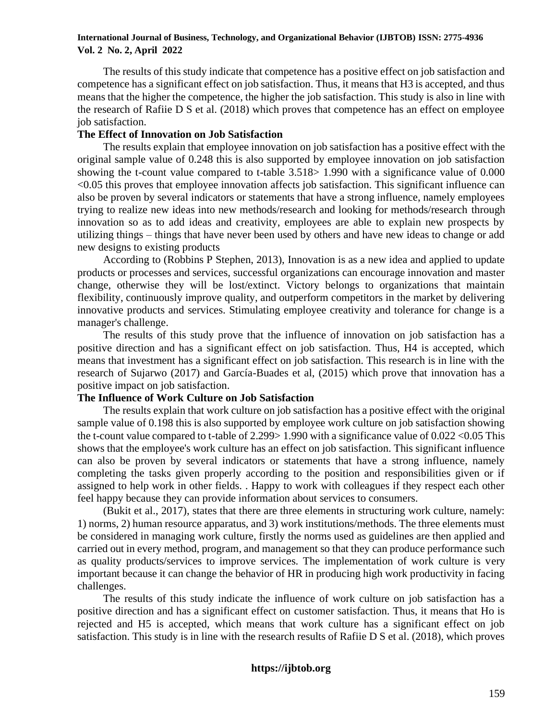The results of this study indicate that competence has a positive effect on job satisfaction and competence has a significant effect on job satisfaction. Thus, it means that H3 is accepted, and thus means that the higher the competence, the higher the job satisfaction. This study is also in line with the research of Rafiie D S et al. (2018) which proves that competence has an effect on employee job satisfaction.

# **The Effect of Innovation on Job Satisfaction**

The results explain that employee innovation on job satisfaction has a positive effect with the original sample value of 0.248 this is also supported by employee innovation on job satisfaction showing the t-count value compared to t-table 3.518> 1.990 with a significance value of 0.000 <0.05 this proves that employee innovation affects job satisfaction. This significant influence can also be proven by several indicators or statements that have a strong influence, namely employees trying to realize new ideas into new methods/research and looking for methods/research through innovation so as to add ideas and creativity, employees are able to explain new prospects by utilizing things – things that have never been used by others and have new ideas to change or add new designs to existing products

According to (Robbins P Stephen, 2013), Innovation is as a new idea and applied to update products or processes and services, successful organizations can encourage innovation and master change, otherwise they will be lost/extinct. Victory belongs to organizations that maintain flexibility, continuously improve quality, and outperform competitors in the market by delivering innovative products and services. Stimulating employee creativity and tolerance for change is a manager's challenge.

The results of this study prove that the influence of innovation on job satisfaction has a positive direction and has a significant effect on job satisfaction. Thus, H4 is accepted, which means that investment has a significant effect on job satisfaction. This research is in line with the research of Sujarwo (2017) and García-Buades et al, (2015) which prove that innovation has a positive impact on job satisfaction.

# **The Influence of Work Culture on Job Satisfaction**

The results explain that work culture on job satisfaction has a positive effect with the original sample value of 0.198 this is also supported by employee work culture on job satisfaction showing the t-count value compared to t-table of 2.299> 1.990 with a significance value of 0.022 <0.05 This shows that the employee's work culture has an effect on job satisfaction. This significant influence can also be proven by several indicators or statements that have a strong influence, namely completing the tasks given properly according to the position and responsibilities given or if assigned to help work in other fields. . Happy to work with colleagues if they respect each other feel happy because they can provide information about services to consumers.

(Bukit et al., 2017), states that there are three elements in structuring work culture, namely: 1) norms, 2) human resource apparatus, and 3) work institutions/methods. The three elements must be considered in managing work culture, firstly the norms used as guidelines are then applied and carried out in every method, program, and management so that they can produce performance such as quality products/services to improve services. The implementation of work culture is very important because it can change the behavior of HR in producing high work productivity in facing challenges.

The results of this study indicate the influence of work culture on job satisfaction has a positive direction and has a significant effect on customer satisfaction. Thus, it means that Ho is rejected and H5 is accepted, which means that work culture has a significant effect on job satisfaction. This study is in line with the research results of Rafiie D S et al. (2018), which proves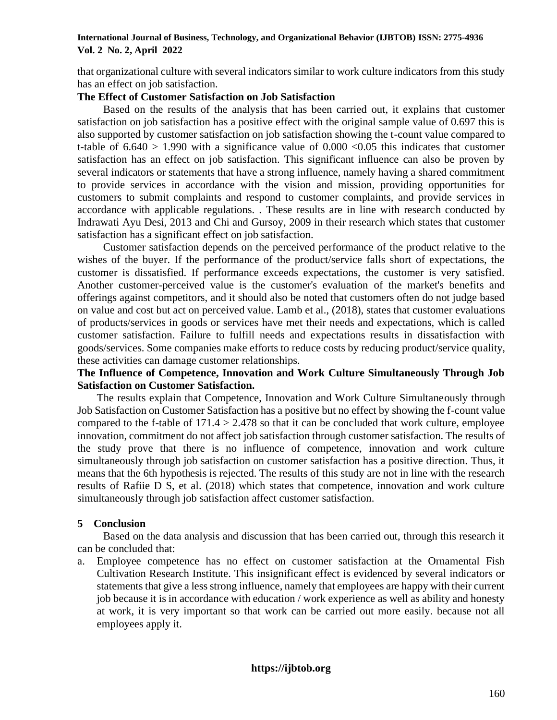that organizational culture with several indicators similar to work culture indicators from this study has an effect on job satisfaction.

# **The Effect of Customer Satisfaction on Job Satisfaction**

Based on the results of the analysis that has been carried out, it explains that customer satisfaction on job satisfaction has a positive effect with the original sample value of 0.697 this is also supported by customer satisfaction on job satisfaction showing the t-count value compared to t-table of  $6.640 > 1.990$  with a significance value of  $0.000 < 0.05$  this indicates that customer satisfaction has an effect on job satisfaction. This significant influence can also be proven by several indicators or statements that have a strong influence, namely having a shared commitment to provide services in accordance with the vision and mission, providing opportunities for customers to submit complaints and respond to customer complaints, and provide services in accordance with applicable regulations. . These results are in line with research conducted by Indrawati Ayu Desi, 2013 and Chi and Gursoy, 2009 in their research which states that customer satisfaction has a significant effect on job satisfaction.

Customer satisfaction depends on the perceived performance of the product relative to the wishes of the buyer. If the performance of the product/service falls short of expectations, the customer is dissatisfied. If performance exceeds expectations, the customer is very satisfied. Another customer-perceived value is the customer's evaluation of the market's benefits and offerings against competitors, and it should also be noted that customers often do not judge based on value and cost but act on perceived value. Lamb et al., (2018), states that customer evaluations of products/services in goods or services have met their needs and expectations, which is called customer satisfaction. Failure to fulfill needs and expectations results in dissatisfaction with goods/services. Some companies make efforts to reduce costs by reducing product/service quality, these activities can damage customer relationships.

# **The Influence of Competence, Innovation and Work Culture Simultaneously Through Job Satisfaction on Customer Satisfaction.**

The results explain that Competence, Innovation and Work Culture Simultaneously through Job Satisfaction on Customer Satisfaction has a positive but no effect by showing the f-count value compared to the f-table of  $171.4 > 2.478$  so that it can be concluded that work culture, employee innovation, commitment do not affect job satisfaction through customer satisfaction. The results of the study prove that there is no influence of competence, innovation and work culture simultaneously through job satisfaction on customer satisfaction has a positive direction. Thus, it means that the 6th hypothesis is rejected. The results of this study are not in line with the research results of Rafiie D S, et al. (2018) which states that competence, innovation and work culture simultaneously through job satisfaction affect customer satisfaction.

# **5 Conclusion**

Based on the data analysis and discussion that has been carried out, through this research it can be concluded that:

a. Employee competence has no effect on customer satisfaction at the Ornamental Fish Cultivation Research Institute. This insignificant effect is evidenced by several indicators or statements that give a less strong influence, namely that employees are happy with their current job because it is in accordance with education / work experience as well as ability and honesty at work, it is very important so that work can be carried out more easily. because not all employees apply it.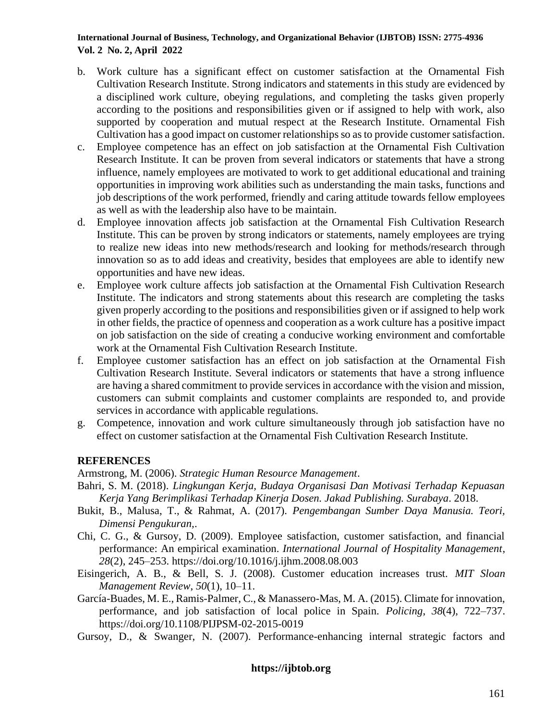- b. Work culture has a significant effect on customer satisfaction at the Ornamental Fish Cultivation Research Institute. Strong indicators and statements in this study are evidenced by a disciplined work culture, obeying regulations, and completing the tasks given properly according to the positions and responsibilities given or if assigned to help with work, also supported by cooperation and mutual respect at the Research Institute. Ornamental Fish Cultivation has a good impact on customer relationships so as to provide customer satisfaction.
- c. Employee competence has an effect on job satisfaction at the Ornamental Fish Cultivation Research Institute. It can be proven from several indicators or statements that have a strong influence, namely employees are motivated to work to get additional educational and training opportunities in improving work abilities such as understanding the main tasks, functions and job descriptions of the work performed, friendly and caring attitude towards fellow employees as well as with the leadership also have to be maintain.
- d. Employee innovation affects job satisfaction at the Ornamental Fish Cultivation Research Institute. This can be proven by strong indicators or statements, namely employees are trying to realize new ideas into new methods/research and looking for methods/research through innovation so as to add ideas and creativity, besides that employees are able to identify new opportunities and have new ideas.
- e. Employee work culture affects job satisfaction at the Ornamental Fish Cultivation Research Institute. The indicators and strong statements about this research are completing the tasks given properly according to the positions and responsibilities given or if assigned to help work in other fields, the practice of openness and cooperation as a work culture has a positive impact on job satisfaction on the side of creating a conducive working environment and comfortable work at the Ornamental Fish Cultivation Research Institute.
- f. Employee customer satisfaction has an effect on job satisfaction at the Ornamental Fish Cultivation Research Institute. Several indicators or statements that have a strong influence are having a shared commitment to provide services in accordance with the vision and mission, customers can submit complaints and customer complaints are responded to, and provide services in accordance with applicable regulations.
- g. Competence, innovation and work culture simultaneously through job satisfaction have no effect on customer satisfaction at the Ornamental Fish Cultivation Research Institute.

# **REFERENCES**

Armstrong, M. (2006). *Strategic Human Resource Management*.

- Bahri, S. M. (2018). *Lingkungan Kerja, Budaya Organisasi Dan Motivasi Terhadap Kepuasan Kerja Yang Berimplikasi Terhadap Kinerja Dosen. Jakad Publishing. Surabaya*. 2018.
- Bukit, B., Malusa, T., & Rahmat, A. (2017). *Pengembangan Sumber Daya Manusia. Teori, Dimensi Pengukuran,*.
- Chi, C. G., & Gursoy, D. (2009). Employee satisfaction, customer satisfaction, and financial performance: An empirical examination. *International Journal of Hospitality Management*, *28*(2), 245–253. https://doi.org/10.1016/j.ijhm.2008.08.003
- Eisingerich, A. B., & Bell, S. J. (2008). Customer education increases trust. *MIT Sloan Management Review*, *50*(1), 10–11.
- García-Buades, M. E., Ramis-Palmer, C., & Manassero-Mas, M. A. (2015). Climate for innovation, performance, and job satisfaction of local police in Spain. *Policing*, *38*(4), 722–737. https://doi.org/10.1108/PIJPSM-02-2015-0019
- Gursoy, D., & Swanger, N. (2007). Performance-enhancing internal strategic factors and